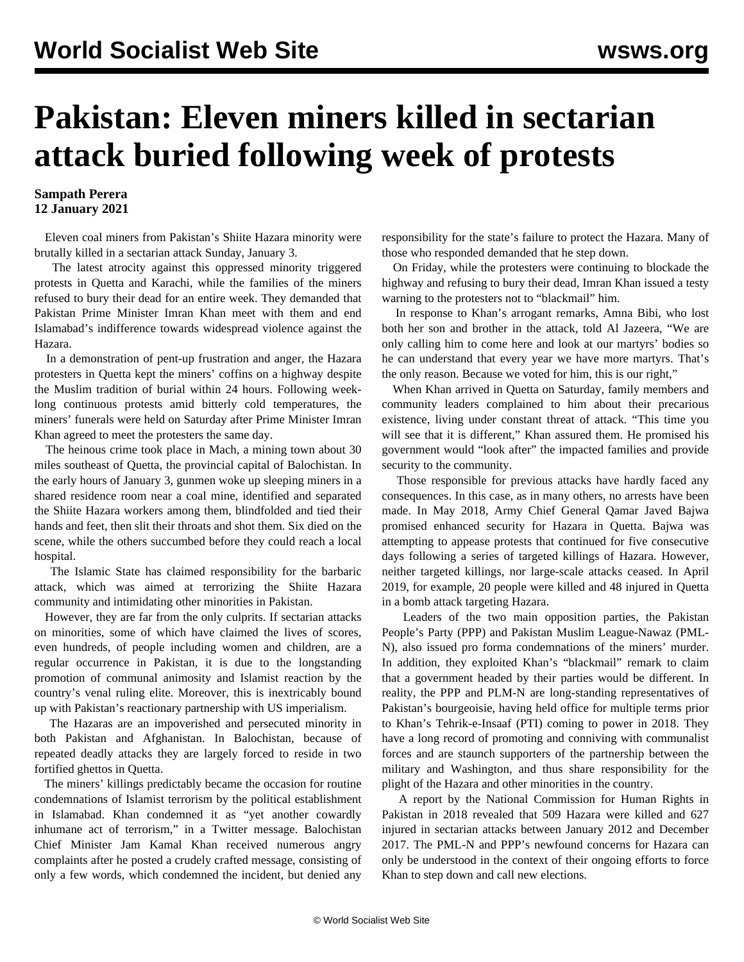## **Pakistan: Eleven miners killed in sectarian attack buried following week of protests**

## **Sampath Perera 12 January 2021**

 Eleven coal miners from Pakistan's Shiite Hazara minority were brutally killed in a sectarian attack Sunday, January 3.

 The latest atrocity against this oppressed minority triggered protests in Quetta and Karachi, while the families of the miners refused to bury their dead for an entire week. They demanded that Pakistan Prime Minister Imran Khan meet with them and end Islamabad's indifference towards widespread violence against the Hazara.

 In a demonstration of pent-up frustration and anger, the Hazara protesters in Quetta kept the miners' coffins on a highway despite the Muslim tradition of burial within 24 hours. Following weeklong continuous protests amid bitterly cold temperatures, the miners' funerals were held on Saturday after Prime Minister Imran Khan agreed to meet the protesters the same day.

 The heinous crime took place in Mach, a mining town about 30 miles southeast of Quetta, the provincial capital of Balochistan. In the early hours of January 3, gunmen woke up sleeping miners in a shared residence room near a coal mine, identified and separated the Shiite Hazara workers among them, blindfolded and tied their hands and feet, then slit their throats and shot them. Six died on the scene, while the others succumbed before they could reach a local hospital.

 The Islamic State has claimed responsibility for the barbaric attack, which was aimed at terrorizing the Shiite Hazara community and intimidating other minorities in Pakistan.

 However, they are far from the only culprits. If sectarian attacks on minorities, some of which have claimed the lives of scores, even hundreds, of people including women and children, are a regular occurrence in Pakistan, it is due to the longstanding promotion of communal animosity and Islamist reaction by the country's venal ruling elite. Moreover, this is inextricably bound up with Pakistan's reactionary partnership with US imperialism.

 The Hazaras are an impoverished and persecuted minority in both Pakistan and Afghanistan. In Balochistan, because of repeated deadly attacks they are largely forced to reside in two fortified ghettos in Quetta.

 The miners' killings predictably became the occasion for routine condemnations of Islamist terrorism by the political establishment in Islamabad. Khan condemned it as "yet another cowardly inhumane act of terrorism," in a Twitter message. Balochistan Chief Minister Jam Kamal Khan received numerous angry complaints after he posted a crudely crafted message, consisting of only a few words, which condemned the incident, but denied any

responsibility for the state's failure to protect the Hazara. Many of those who responded demanded that he step down.

 On Friday, while the protesters were continuing to blockade the highway and refusing to bury their dead, Imran Khan issued a testy warning to the protesters not to "blackmail" him.

 In response to Khan's arrogant remarks, Amna Bibi, who lost both her son and brother in the attack, told Al Jazeera, "We are only calling him to come here and look at our martyrs' bodies so he can understand that every year we have more martyrs. That's the only reason. Because we voted for him, this is our right,"

 When Khan arrived in Quetta on Saturday, family members and community leaders complained to him about their precarious existence, living under constant threat of attack. "This time you will see that it is different," Khan assured them. He promised his government would "look after" the impacted families and provide security to the community.

 Those responsible for previous attacks have hardly faced any consequences. In this case, as in many others, no arrests have been made. In May 2018, Army Chief General Qamar Javed Bajwa promised enhanced security for Hazara in Quetta. Bajwa was attempting to appease protests that continued for five consecutive days following a series of targeted killings of Hazara. However, neither targeted killings, nor large-scale attacks ceased. In April 2019, for example, 20 people were killed and 48 injured in Quetta in a bomb attack targeting Hazara.

 Leaders of the two main opposition parties, the Pakistan People's Party (PPP) and Pakistan Muslim League-Nawaz (PML-N), also issued pro forma condemnations of the miners' murder. In addition, they exploited Khan's "blackmail" remark to claim that a government headed by their parties would be different. In reality, the PPP and PLM-N are long-standing representatives of Pakistan's bourgeoisie, having held office for multiple terms prior to Khan's Tehrik-e-Insaaf (PTI) coming to power in 2018. They have a long record of promoting and conniving with communalist forces and are staunch supporters of the partnership between the military and Washington, and thus share responsibility for the plight of the Hazara and other minorities in the country.

 A report by the National Commission for Human Rights in Pakistan in 2018 revealed that 509 Hazara were killed and 627 injured in sectarian attacks between January 2012 and December 2017. The PML-N and PPP's newfound concerns for Hazara can only be understood in the context of their ongoing efforts to force Khan to step down and call new elections.